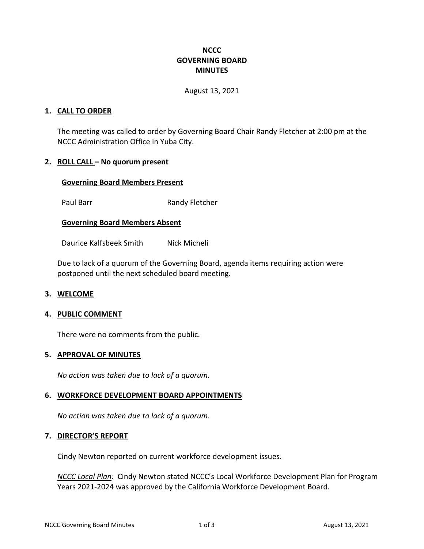## **NCCC GOVERNING BOARD MINUTES**

#### August 13, 2021

### **1. CALL TO ORDER**

The meeting was called to order by Governing Board Chair Randy Fletcher at 2:00 pm at the NCCC Administration Office in Yuba City.

### **2. ROLL CALL – No quorum present**

#### **Governing Board Members Present**

Paul Barr Randy Fletcher

### **Governing Board Members Absent**

Daurice Kalfsbeek Smith Nick Micheli

Due to lack of a quorum of the Governing Board, agenda items requiring action were postponed until the next scheduled board meeting.

#### **3. WELCOME**

#### **4. PUBLIC COMMENT**

There were no comments from the public.

#### **5. APPROVAL OF MINUTES**

*No action was taken due to lack of a quorum.*

#### **6. WORKFORCE DEVELOPMENT BOARD APPOINTMENTS**

*No action was taken due to lack of a quorum.*

## **7. DIRECTOR'S REPORT**

Cindy Newton reported on current workforce development issues.

*NCCC Local Plan:* Cindy Newton stated NCCC's Local Workforce Development Plan for Program Years 2021-2024 was approved by the California Workforce Development Board.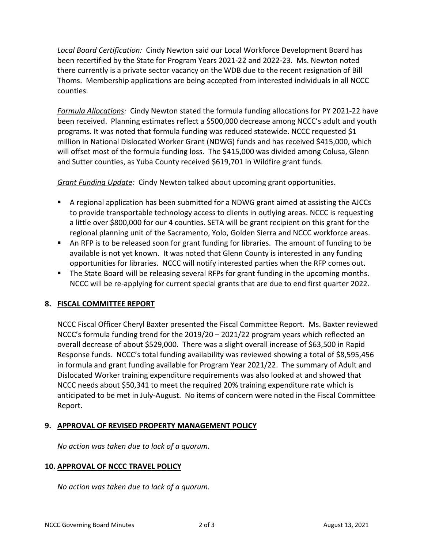*Local Board Certification:* Cindy Newton said our Local Workforce Development Board has been recertified by the State for Program Years 2021-22 and 2022-23. Ms. Newton noted there currently is a private sector vacancy on the WDB due to the recent resignation of Bill Thoms. Membership applications are being accepted from interested individuals in all NCCC counties.

*Formula Allocations:* Cindy Newton stated the formula funding allocations for PY 2021-22 have been received. Planning estimates reflect a \$500,000 decrease among NCCC's adult and youth programs. It was noted that formula funding was reduced statewide. NCCC requested \$1 million in National Dislocated Worker Grant (NDWG) funds and has received \$415,000, which will offset most of the formula funding loss. The \$415,000 was divided among Colusa, Glenn and Sutter counties, as Yuba County received \$619,701 in Wildfire grant funds.

*Grant Funding Update:* Cindy Newton talked about upcoming grant opportunities.

- A regional application has been submitted for a NDWG grant aimed at assisting the AJCCs to provide transportable technology access to clients in outlying areas. NCCC is requesting a little over \$800,000 for our 4 counties. SETA will be grant recipient on this grant for the regional planning unit of the Sacramento, Yolo, Golden Sierra and NCCC workforce areas.
- An RFP is to be released soon for grant funding for libraries. The amount of funding to be available is not yet known. It was noted that Glenn County is interested in any funding opportunities for libraries. NCCC will notify interested parties when the RFP comes out.
- **The State Board will be releasing several RFPs for grant funding in the upcoming months.** NCCC will be re-applying for current special grants that are due to end first quarter 2022.

## **8. FISCAL COMMITTEE REPORT**

NCCC Fiscal Officer Cheryl Baxter presented the Fiscal Committee Report. Ms. Baxter reviewed NCCC's formula funding trend for the 2019/20 – 2021/22 program years which reflected an overall decrease of about \$529,000. There was a slight overall increase of \$63,500 in Rapid Response funds. NCCC's total funding availability was reviewed showing a total of \$8,595,456 in formula and grant funding available for Program Year 2021/22. The summary of Adult and Dislocated Worker training expenditure requirements was also looked at and showed that NCCC needs about \$50,341 to meet the required 20% training expenditure rate which is anticipated to be met in July-August. No items of concern were noted in the Fiscal Committee Report.

## **9. APPROVAL OF REVISED PROPERTY MANAGEMENT POLICY**

*No action was taken due to lack of a quorum.*

## **10. APPROVAL OF NCCC TRAVEL POLICY**

*No action was taken due to lack of a quorum.*